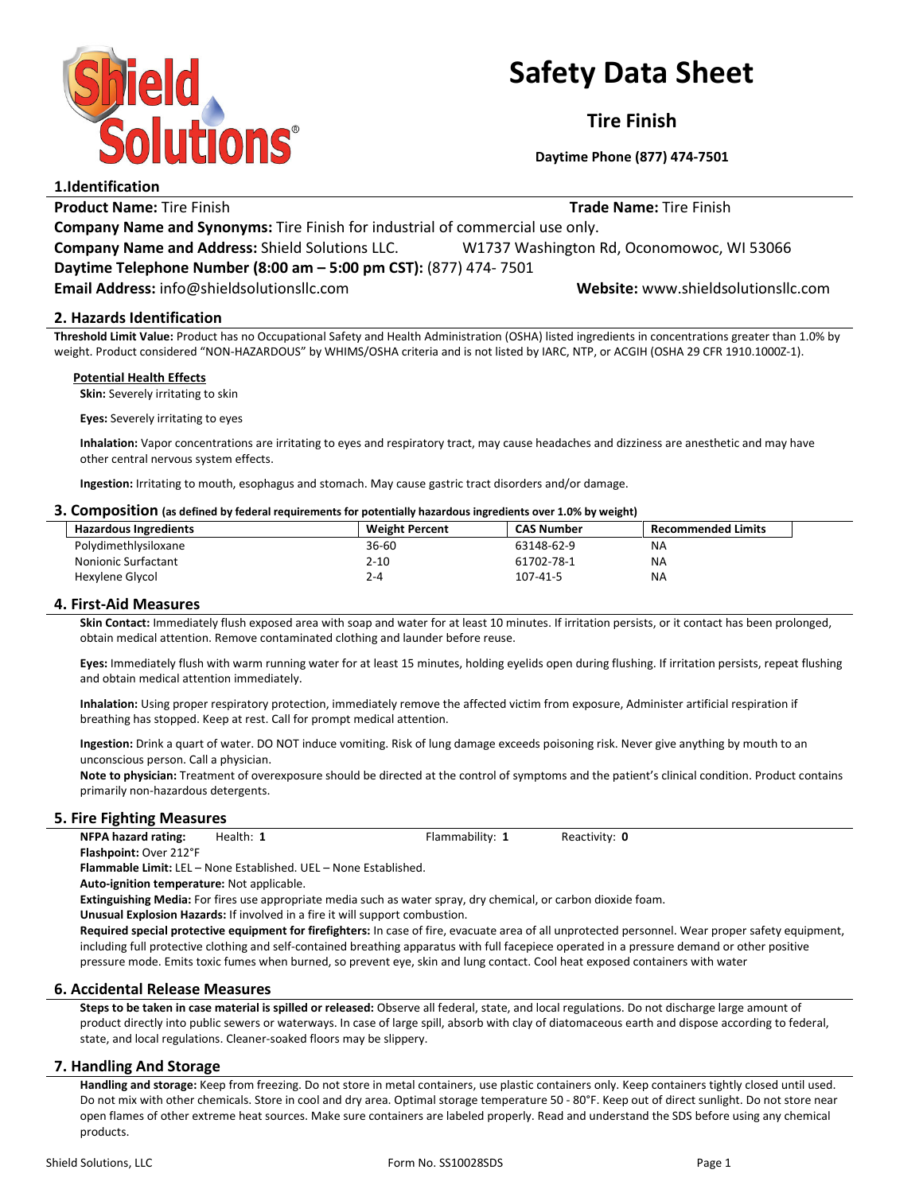

# Safety Data Sheet

Tire Finish

Daytime Phone (877) 474-7501

| 1.Identification                                                                     |                                           |  |
|--------------------------------------------------------------------------------------|-------------------------------------------|--|
| <b>Product Name: Tire Finish</b>                                                     | <b>Trade Name: Tire Finish</b>            |  |
| <b>Company Name and Synonyms:</b> Tire Finish for industrial of commercial use only. |                                           |  |
| <b>Company Name and Address: Shield Solutions LLC.</b>                               | W1737 Washington Rd, Oconomowoc, WI 53066 |  |
| Daytime Telephone Number (8:00 am - 5:00 pm CST): (877) 474-7501                     |                                           |  |
| Email Address: info@shieldsolutionsllc.com                                           | Website: www.shieldsolutionsllc.com       |  |
|                                                                                      |                                           |  |

# 2. Hazards Identification

Threshold Limit Value: Product has no Occupational Safety and Health Administration (OSHA) listed ingredients in concentrations greater than 1.0% by weight. Product considered "NON-HAZARDOUS" by WHIMS/OSHA criteria and is not listed by IARC, NTP, or ACGIH (OSHA 29 CFR 1910.1000Z-1).

## Potential Health Effects

Skin: Severely irritating to skin

Eyes: Severely irritating to eyes

Inhalation: Vapor concentrations are irritating to eyes and respiratory tract, may cause headaches and dizziness are anesthetic and may have other central nervous system effects.

Ingestion: Irritating to mouth, esophagus and stomach. May cause gastric tract disorders and/or damage.

#### 3. Composition (as defined by federal requirements for potentially hazardous ingredients over 1.0% by weight)

| <b>Hazardous Ingredients</b> | <b>Weight Percent</b> | <b>CAS Number</b> | <b>Recommended Limits</b> |  |  |
|------------------------------|-----------------------|-------------------|---------------------------|--|--|
| Polydimethlysiloxane         | 36-60                 | 63148-62-9        | NА                        |  |  |
| Nonionic Surfactant          | 2-10                  | 61702-78-1        | <b>NA</b>                 |  |  |
| Hexylene Glycol              | 2-4                   | $107 - 41 - 5$    | <b>NA</b>                 |  |  |

# 4. First-Aid Measures

Skin Contact: Immediately flush exposed area with soap and water for at least 10 minutes. If irritation persists, or it contact has been prolonged, obtain medical attention. Remove contaminated clothing and launder before reuse.

Eyes: Immediately flush with warm running water for at least 15 minutes, holding eyelids open during flushing. If irritation persists, repeat flushing and obtain medical attention immediately.

Inhalation: Using proper respiratory protection, immediately remove the affected victim from exposure, Administer artificial respiration if breathing has stopped. Keep at rest. Call for prompt medical attention.

Ingestion: Drink a quart of water. DO NOT induce vomiting. Risk of lung damage exceeds poisoning risk. Never give anything by mouth to an unconscious person. Call a physician.

Note to physician: Treatment of overexposure should be directed at the control of symptoms and the patient's clinical condition. Product contains primarily non-hazardous detergents.

# 5. Fire Fighting Measures

NFPA hazard rating: Health: 1 Flammability: 1 Reactivity: 0

Flashpoint: Over 212°F

Flammable Limit: LEL – None Established. UEL – None Established.

Auto-ignition temperature: Not applicable.

Extinguishing Media: For fires use appropriate media such as water spray, dry chemical, or carbon dioxide foam.

Unusual Explosion Hazards: If involved in a fire it will support combustion.

Required special protective equipment for firefighters: In case of fire, evacuate area of all unprotected personnel. Wear proper safety equipment, including full protective clothing and self-contained breathing apparatus with full facepiece operated in a pressure demand or other positive pressure mode. Emits toxic fumes when burned, so prevent eye, skin and lung contact. Cool heat exposed containers with water

# 6. Accidental Release Measures

Steps to be taken in case material is spilled or released: Observe all federal, state, and local regulations. Do not discharge large amount of product directly into public sewers or waterways. In case of large spill, absorb with clay of diatomaceous earth and dispose according to federal, state, and local regulations. Cleaner-soaked floors may be slippery.

# 7. Handling And Storage

Handling and storage: Keep from freezing. Do not store in metal containers, use plastic containers only. Keep containers tightly closed until used. Do not mix with other chemicals. Store in cool and dry area. Optimal storage temperature 50 - 80°F. Keep out of direct sunlight. Do not store near open flames of other extreme heat sources. Make sure containers are labeled properly. Read and understand the SDS before using any chemical products.